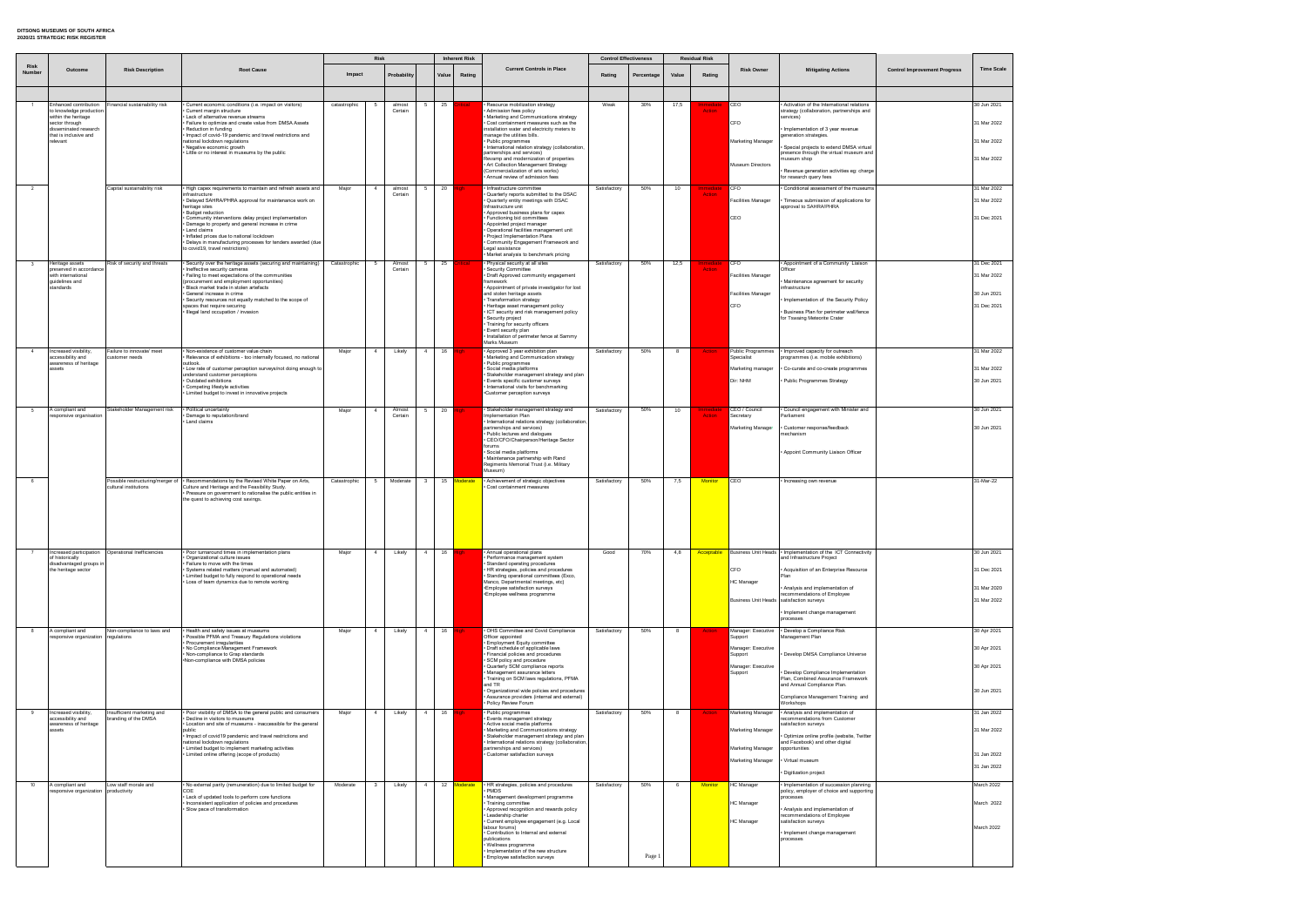|                       |                                               |                                             |                                                                                                                                           |              | Risk            |                   |              |       | <b>Inherent Risk</b> |                                                                                                        | <b>Control Effectiveness</b> |            |       | <b>Residual Risk</b>     |                                        |                                                                                      |                                     |                   |
|-----------------------|-----------------------------------------------|---------------------------------------------|-------------------------------------------------------------------------------------------------------------------------------------------|--------------|-----------------|-------------------|--------------|-------|----------------------|--------------------------------------------------------------------------------------------------------|------------------------------|------------|-------|--------------------------|----------------------------------------|--------------------------------------------------------------------------------------|-------------------------------------|-------------------|
| <b>Risk</b><br>Number | Outcome                                       | <b>Risk Description</b>                     | <b>Root Cause</b>                                                                                                                         | Impact       |                 | Probability       |              | Value | Rating               | <b>Current Controls in Place</b>                                                                       | Rating                       | Percentage | Value | Rating                   | <b>Risk Owner</b>                      | <b>Mitigating Actions</b>                                                            | <b>Control Improvement Progress</b> | <b>Time Scale</b> |
|                       | inhanced contribution                         | inancial sustainability risk                | Current economic conditions (i.e. impact on visitors)                                                                                     | catastrophic |                 | almost            |              | 25    |                      | Resource mobilization strategy                                                                         | Weak                         | 30%        | 17,5  |                          | <b>CEO</b>                             | Activation of the International relations                                            |                                     | 30 Jun 2021       |
|                       | o knowledge production<br>vithin the heritage |                                             | Current margin structure<br>Lack of alternative revenue streams                                                                           |              |                 | Certain           |              |       |                      | Admission fees policy<br>Marketing and Communications strategy                                         |                              |            |       | <b>Action</b>            |                                        | strategy (collaboration, partnerships and<br>services)                               |                                     |                   |
|                       | ector through<br>lisseminated research        |                                             | Failure to optimize and create value from DMSA Assets<br>Reduction in funding                                                             |              |                 |                   |              |       |                      | Cost containment measures such as the<br>installation water and electricity meters to                  |                              |            |       |                          | <b>CFO</b>                             | · Implementation of 3 year revenue                                                   |                                     | 31 Mar 2022       |
|                       | hat is inclusive and<br>elevant               |                                             | Impact of covid-19 pandemic and travel restrictions and<br>national lockdown regulations                                                  |              |                 |                   |              |       |                      | manage the utilities bills.<br>Public programmes                                                       |                              |            |       |                          | Marketing Manager                      | generation strategies.                                                               |                                     | 31 Mar 2022       |
|                       |                                               |                                             | Negative economic growth<br>Little or no interest in museums by the public                                                                |              |                 |                   |              |       |                      | International relation strategy (collaboration,<br>partnerships and services)                          |                              |            |       |                          |                                        | · Special projects to extend DMSA virtual<br>presence through the virtual museum and |                                     |                   |
|                       |                                               |                                             |                                                                                                                                           |              |                 |                   |              |       |                      | Revamp and modernization of properties<br>Art Collection Management Strategy                           |                              |            |       |                          | <b>Museum Directors</b>                | nuseum shop                                                                          |                                     | 31 Mar 2022       |
|                       |                                               |                                             |                                                                                                                                           |              |                 |                   |              |       |                      | (Commercialization of arts works)<br>Annual review of admission fees                                   |                              |            |       |                          |                                        | · Revenue generation activities eg: charge<br>for research query fees                |                                     |                   |
|                       |                                               | Capital sustainability risk                 | · High capex requirements to maintain and refresh assets and<br>infrastructure                                                            | Major        | $\overline{4}$  | almost<br>Certain |              | 20    |                      | · Infrastructure committee<br>Quarterly reports submitted to the DSAC                                  | Satisfactory                 | 50%        | 10    | mmediat<br><b>Action</b> | <b>CFO</b>                             | Conditional assessment of the museums                                                |                                     | 31 Mar 2022       |
|                       |                                               |                                             | · Delayed SAHRA/PHRA approval for maintenance work on<br>heritage sites                                                                   |              |                 |                   |              |       |                      | Quarterly entity meetings with DSAC<br>Infrastructure unit                                             |                              |            |       |                          | <b>Facilities Manager</b>              | · Timeous submission of applications for<br>approval to SAHRA/PHRA                   |                                     | 31 Mar 2022       |
|                       |                                               |                                             | <b>Budget reduction</b><br>Community interventions delay project implementation                                                           |              |                 |                   |              |       |                      | Approved business plans for capex<br>Functioning bid committees                                        |                              |            |       |                          | CEO                                    |                                                                                      |                                     | 31 Dec 2021       |
|                       |                                               |                                             | Damage to property and general increase in crime<br>Land claims                                                                           |              |                 |                   |              |       |                      | Appointed project manager<br>Operational facilities management unit                                    |                              |            |       |                          |                                        |                                                                                      |                                     |                   |
|                       |                                               |                                             | Inflated prices due to national lockdown<br>Delays in manufacturing processes for tenders awarded (due                                    |              |                 |                   |              |       |                      | Project Implementation Plans<br>Community Engagement Framework and                                     |                              |            |       |                          |                                        |                                                                                      |                                     |                   |
|                       |                                               |                                             | to covid19, travel restrictions)                                                                                                          |              |                 |                   |              |       |                      | Legal assistance<br>Market analysis to benchmark pricing                                               |                              |            |       |                          |                                        |                                                                                      |                                     |                   |
|                       | Heritage assets<br>preserved in accordance    | Risk of security and threats                | Security over the heritage assets (securing and maintaining)<br>Ineffective security cameras                                              | Catastrophic | $5\overline{5}$ | Almost<br>Certain |              | 25    | <b>ritical</b>       | · Physical security at all sites<br>Security Committee                                                 | Satisfactory                 | 50%        | 12,5  | mmedia<br><b>Action</b>  | <b>CFO</b>                             | Appointment of a Community Liaison<br>Officer                                        |                                     | 31 Dec 2021       |
|                       | with international<br>juidelines and          |                                             | Failing to meet expectations of the communities<br>(procurement and employment opportunities)                                             |              |                 |                   |              |       |                      | Draft Approved community engagement<br>framework                                                       |                              |            |       |                          | <b>Facilities Manager</b>              | Maintenance agreement for security                                                   |                                     | 31 Mar 2022       |
|                       | tandards                                      |                                             | Black market trade in stolen artefacts<br>General increase in crime                                                                       |              |                 |                   |              |       |                      | Appointment of private investigator for lost<br>and stolen heritage assets                             |                              |            |       |                          | <b>Facilities Manager</b>              | infrastructure                                                                       |                                     | 30 Jun 2021       |
|                       |                                               |                                             | Security resources not equally matched to the scope of<br>spaces that require securing                                                    |              |                 |                   |              |       |                      | Transformation strategy<br>Heritage asset management policy                                            |                              |            |       |                          | <b>CFO</b>                             | · Implementation of the Security Policy                                              |                                     | 31 Dec 2021       |
|                       |                                               |                                             | Illegal land occupation / invasion                                                                                                        |              |                 |                   |              |       |                      | ICT security and risk management policy<br>Security project                                            |                              |            |       |                          |                                        | · Business Plan for perimeter wall/fence<br>for Tswaing Meteorite Crater             |                                     |                   |
|                       |                                               |                                             |                                                                                                                                           |              |                 |                   |              |       |                      | Training for security officers<br>Event security plan                                                  |                              |            |       |                          |                                        |                                                                                      |                                     |                   |
|                       |                                               |                                             |                                                                                                                                           |              |                 |                   |              |       |                      | Installation of perimeter fence at Sammy<br>Marks Museum                                               |                              |            |       |                          |                                        |                                                                                      |                                     |                   |
|                       | ncreased visibility<br>accessibility and      | Failure to innovate/ meet<br>customer needs | Non-existence of customer value chain<br>Relevance of exhibitions - too internally focused, no national                                   | Major        | $\overline{4}$  | Likely            | $\mathbf{A}$ | 16    |                      | Approved 3 year exhibition plan<br>Marketing and Communication strategy                                | Satisfactory                 | 50%        | 8     | <b>Action</b>            | <b>Public Programmes</b><br>Specialist | · Improved capacity for outreach<br>programmes (i.e. mobile exhibitions)             |                                     | 31 Mar 2022       |
|                       | wareness of heritage<br>ssets                 |                                             | outlook.<br>Low rate of customer perception surveys/not doing enough to                                                                   |              |                 |                   |              |       |                      | Public programmes<br>Social media platforms                                                            |                              |            |       |                          | Marketing manager                      | · Co-curate and co-create programmes                                                 |                                     | 31 Mar 2022       |
|                       |                                               |                                             | understand customer perceptions<br>Outdated exhibitions                                                                                   |              |                 |                   |              |       |                      | Stakeholder management strategy and plan<br>Events specific customer surveys                           |                              |            |       |                          | Dir: NHM                               | Public Programmes Strategy                                                           |                                     | 30 Jun 2021       |
|                       |                                               |                                             | Competing lifestyle activities<br>Limited budget to invest in innovative projects                                                         |              |                 |                   |              |       |                      | International visits for benchmarking<br>*Customer perception surveys                                  |                              |            |       |                          |                                        |                                                                                      |                                     |                   |
|                       | A compliant and                               | Stakeholder Management risk                 | Political uncertainty                                                                                                                     | Major        | $\overline{4}$  | Almost            |              | 20    |                      | Stakeholder management strategy and                                                                    | Satisfactory                 | 50%        | 10    | nmedia                   | CEO / Council                          | Council engagement with Minister and                                                 |                                     | 30 Jun 2021       |
|                       | responsive organisation                       |                                             | Damage to reputation/brand<br>Land claims                                                                                                 |              |                 | Certain           |              |       |                      | Implementation Plan<br>International relations strategy (collaboration                                 |                              |            |       | <b>Action</b>            | Secretary                              | Parliament                                                                           |                                     |                   |
|                       |                                               |                                             |                                                                                                                                           |              |                 |                   |              |       |                      | partnerships and services)<br>Public lectures and dialogues                                            |                              |            |       |                          | <b>Marketing Manager</b>               | · Customer response/feedback<br>nechanism                                            |                                     | 30 Jun 2021       |
|                       |                                               |                                             |                                                                                                                                           |              |                 |                   |              |       |                      | · CEO/CFO/Chairperson/Heritage Sector<br>forums                                                        |                              |            |       |                          |                                        |                                                                                      |                                     |                   |
|                       |                                               |                                             |                                                                                                                                           |              |                 |                   |              |       |                      | Social media platforms<br>Maintenance partnership with Rand<br>Regiments Memorial Trust (i.e. Military |                              |            |       |                          |                                        | Appoint Community Liaison Officer                                                    |                                     |                   |
|                       |                                               |                                             |                                                                                                                                           |              |                 |                   |              |       |                      | Museum)                                                                                                |                              |            |       |                          |                                        |                                                                                      |                                     |                   |
|                       |                                               | cultural institutions                       | Possible restructuring/merger of • Recommendations by the Revised White Paper on Arts,<br>Culture and Heritage and the Feasibility Study. | Catastrophic | 5 <sup>5</sup>  | Moderate          | $\mathbf{R}$ |       | 15 Moderate          | · Achievement of strategic objectives<br>Cost containment measures                                     | Satisfactory                 | 50%        | 7,5   | <b>Monitor</b>           | <b>CEO</b>                             | Increasing own revenue                                                               |                                     | 31-Mar-22         |
|                       |                                               |                                             | Pressure on government to rationalise the public entities in<br>the quest to achieving cost savings.                                      |              |                 |                   |              |       |                      |                                                                                                        |                              |            |       |                          |                                        |                                                                                      |                                     |                   |
|                       |                                               |                                             |                                                                                                                                           |              |                 |                   |              |       |                      |                                                                                                        |                              |            |       |                          |                                        |                                                                                      |                                     |                   |
|                       |                                               |                                             |                                                                                                                                           |              |                 |                   |              |       |                      |                                                                                                        |                              |            |       |                          |                                        |                                                                                      |                                     |                   |
|                       |                                               |                                             |                                                                                                                                           |              |                 |                   |              |       |                      |                                                                                                        |                              |            |       |                          |                                        |                                                                                      |                                     |                   |
|                       | ncreased participation<br>f historically      | Operational Inefficiencies                  | · Poor turnaround times in implementation plans<br>Organizational culture issues                                                          | Major        | $\overline{4}$  | Likely            |              | 16    |                      | Annual operational plans<br>Performance management system                                              | Good                         | 70%        | 4,8   | Acceptable               | <b>Business Unit Heads</b>             | · Implementation of the ICT Connectivity<br>and Infrastructure Project               |                                     | 30 Jun 2021       |
|                       | isadvantaged groups i<br>he heritage sector   |                                             | Failure to move with the times<br>Systems related matters (manual and automated)                                                          |              |                 |                   |              |       |                      | Standard operating procedures<br>HR strategies, policies and procedures                                |                              |            |       |                          | <b>CFO</b>                             | Acquisition of an Enterprise Resource                                                |                                     | 31 Dec 2021       |
|                       |                                               |                                             | Limited budget to fully respond to operational needs<br>Loss of team dynamics due to remote working                                       |              |                 |                   |              |       |                      | Standing operational committees (Exco,<br>Manco, Departmental meetings, etc)                           |                              |            |       |                          | <b>HC</b> Manager                      |                                                                                      |                                     |                   |
|                       |                                               |                                             |                                                                                                                                           |              |                 |                   |              |       |                      | Employee satisfaction surveys<br>·Employee wellness programme                                          |                              |            |       |                          |                                        | Analysis and implementation of<br>recommendations of Employee                        |                                     | 31 Mar 2020       |
|                       |                                               |                                             |                                                                                                                                           |              |                 |                   |              |       |                      |                                                                                                        |                              |            |       |                          |                                        | Business Unit Heads satisfaction surveys                                             |                                     | 31 Mar 2022       |
|                       |                                               |                                             |                                                                                                                                           |              |                 |                   |              |       |                      |                                                                                                        |                              |            |       |                          |                                        | · Implement change management<br>processes                                           |                                     |                   |
|                       | compliant and                                 | Non-compliance to laws and                  | Health and safety issues at museums                                                                                                       | Major        | $\overline{4}$  | Likely            | 4            | 16    |                      | OHS Committee and Covid Compliance                                                                     | Satisfactory                 | 50%        | 8     | <b>Action</b>            | Manager: Executive                     | · Develop a Compliance Risk                                                          |                                     | 30 Apr 2021       |
|                       | esponsive organization                        | regulations                                 | Possible PFMA and Treasury Regulations violations<br>Procurement irregularities                                                           |              |                 |                   |              |       |                      | Officer appointed<br>Employment Equity committee                                                       |                              |            |       |                          | Support                                | Management Plan                                                                      |                                     |                   |
|                       |                                               |                                             | No Compliance Management Framework<br>Non-compliance to Grap standards<br>Non-compliance with DMSA policies                               |              |                 |                   |              |       |                      | Draft schedule of applicable laws<br>Financial policies and procedures<br>SCM policy and procedure     |                              |            |       |                          | Manager: Executive<br>Support          | Develop DMSA Compliance Universe                                                     |                                     | 30 Apr 2021       |
|                       |                                               |                                             |                                                                                                                                           |              |                 |                   |              |       |                      | · Quarterly SCM compliance reports<br>Management assurance letters                                     |                              |            |       |                          | Manager: Executive<br>Support          | Develop Compliance Implementation                                                    |                                     | 30 Apr 2021       |
|                       |                                               |                                             |                                                                                                                                           |              |                 |                   |              |       |                      | Training on SCM laws regulations, PFMA<br>and TR                                                       |                              |            |       |                          |                                        | Plan, Combined Assurance Framework<br>and Annual Compliance Plan.                    |                                     |                   |
|                       |                                               |                                             |                                                                                                                                           |              |                 |                   |              |       |                      | Organizational wide policies and procedures<br>Assurance providers (internal and external)             |                              |            |       |                          |                                        | Compliance Management Training and                                                   |                                     | 30 Jun 2021       |
|                       | ncreased visibility                           | nsufficient marketing and                   | Poor visibility of DMSA to the general public and consumers                                                                               | Major        | 4               | Likely            | 4            | 16    |                      | Policy Review Forum<br>Public programmes                                                               | Satisfactory                 | 50%        | 8     | Action                   | Marketing Manager                      | Workshops<br>• Analysis and implementation of                                        |                                     | 31 Jan 2022       |
|                       | ccessibility and<br>wareness of heritage      | pranding of the DMSA                        | Decline in visitors to museums<br>Location and site of museums - inaccessible for the general                                             |              |                 |                   |              |       |                      | Events management strategy<br>Active social media platforms                                            |                              |            |       |                          |                                        | ecommendations from Customer<br>satisfaction surveys                                 |                                     |                   |
|                       | assets                                        |                                             | public<br>Impact of covid19 pandemic and travel restrictions and                                                                          |              |                 |                   |              |       |                      | Marketing and Communications strategy<br>Stakeholder management strategy and plan                      |                              |            |       |                          | Marketing Manager                      | · Optimize online profile (website, Twitter                                          |                                     | 31 Mar 2022       |
|                       |                                               |                                             | national lockdown regulations<br>Limited budget to implement marketing activities                                                         |              |                 |                   |              |       |                      | International relations strategy (collaboration<br>partnerships and services)                          |                              |            |       |                          | Marketing Manager                      | and Facebook) and other digital<br>opportunities                                     |                                     |                   |
|                       |                                               |                                             | Limited online offering (scope of products)                                                                                               |              |                 |                   |              |       |                      | Customer satisfaction surveys                                                                          |                              |            |       |                          | Marketing Manager                      | · Virtual museum                                                                     |                                     | 31 Jan 2022       |
|                       |                                               |                                             |                                                                                                                                           |              |                 |                   |              |       |                      |                                                                                                        |                              |            |       |                          |                                        | · Digitization project                                                               |                                     | 31 Jan 2022       |
|                       | A compliant and<br>esponsive organization     | ow staff morale and<br>productivity         | No external parity (remuneration) due to limited budget for                                                                               | Moderate     | 3               | Likely            |              |       | 12 Moderate          | · HR strategies, policies and procedures<br>PMDS                                                       | Satisfactory                 | 50%        | 6     | <b>Monitor</b>           | <b>HC</b> Manager                      | Implementation of succession planning<br>policy, employer of choice and supporting   |                                     | March 2022        |
|                       |                                               |                                             | . Lack of updated tools to perform core functions<br>Inconsistent application of policies and procedures                                  |              |                 |                   |              |       |                      | Management development programme<br>Training committee                                                 |                              |            |       |                          | <b>HC</b> Manager                      | processes                                                                            |                                     | March 2022        |
|                       |                                               |                                             | Slow pace of transformation                                                                                                               |              |                 |                   |              |       |                      | Approved recognition and rewards policy<br>Leadership charter                                          |                              |            |       |                          |                                        | · Analysis and implementation of<br>recommendations of Employee                      |                                     |                   |
|                       |                                               |                                             |                                                                                                                                           |              |                 |                   |              |       |                      | Current employee engagement (e.g. Local<br>abour forums)                                               |                              |            |       |                          | <b>HC</b> Manager                      | satisfaction surveys                                                                 |                                     | March 2022        |
|                       |                                               |                                             |                                                                                                                                           |              |                 |                   |              |       |                      | Contribution to Internal and external<br>publications                                                  |                              |            |       |                          |                                        | · Implement change management<br>processes                                           |                                     |                   |
|                       |                                               |                                             |                                                                                                                                           |              |                 |                   |              |       |                      | · Wellness programme<br>Implementation of the new structure                                            |                              |            |       |                          |                                        |                                                                                      |                                     |                   |
|                       |                                               |                                             |                                                                                                                                           |              |                 |                   |              |       |                      | Employee satisfaction surveys                                                                          |                              | Page 1     |       |                          |                                        |                                                                                      |                                     |                   |

| <b>Time Scale</b> |  |
|-------------------|--|
|                   |  |
| 30 Jun 2021       |  |
| 31 Mar 2022       |  |
| 31 Mar 2022       |  |
| 31 Mar 2022       |  |
|                   |  |
| 31 Mar 2022       |  |
| 31 Mar 2022       |  |
| 31 Dec 2021       |  |
|                   |  |
|                   |  |
| 31 Dec 2021       |  |
| 31 Mar 2022       |  |
| 30 Jun 2021       |  |
| 31 Dec 2021       |  |
|                   |  |
|                   |  |
| 31 Mar 2022       |  |
| 31 Mar 2022       |  |
| 30 Jun 2021       |  |
|                   |  |
| 30 Jun 2021       |  |
| 30 Jun 2021       |  |
|                   |  |
|                   |  |
| 31-Mar-22         |  |
|                   |  |
|                   |  |
|                   |  |
|                   |  |
| 30 Jun 2021       |  |
| 31 Dec 2021       |  |
| 31 Mar 2020       |  |
| 31 Mar 2022       |  |
|                   |  |
| 30 Apr 2021       |  |
| 30 Apr 2021       |  |
| 30 Apr 2021       |  |
|                   |  |
| 30 Jun 2021       |  |
| 31 Jan 2022       |  |
|                   |  |
| 31 Mar 2022       |  |
| 31 Jan 2022       |  |
| 31 Jan 2022       |  |
| March 2022        |  |
|                   |  |
| March 2022        |  |
| March 2022        |  |
|                   |  |

## **DITSONG MUSEUMS OF SOUTH AFRICA 2020/21 STRATEGIC RISK REGISTER**